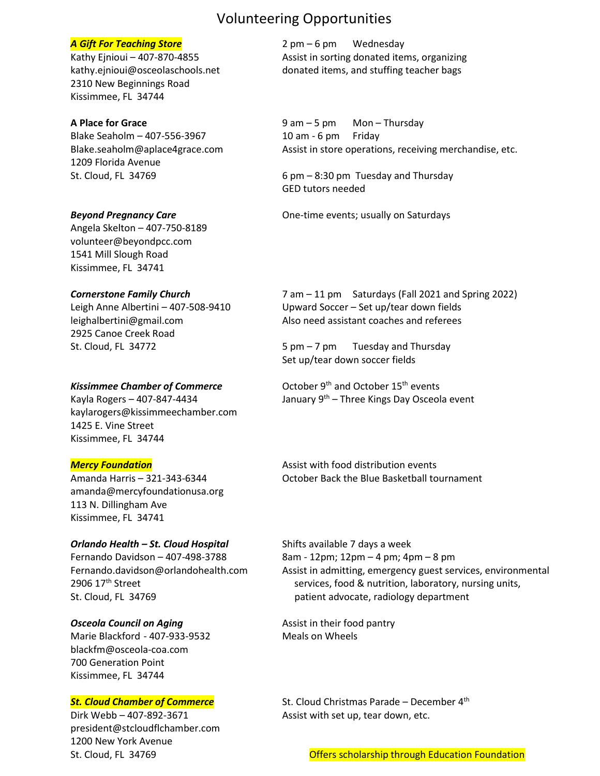## Volunteering Opportunities

2310 New Beginnings Road Kissimmee, FL 34744

Blake Seaholm – 407-556-3967 10 am - 6 pm Friday 1209 Florida Avenue

Angela Skelton – 407-750-8189 [volunteer@beyondpcc.com](mailto:volunteer@beyondpcc.com) 1541 Mill Slough Road Kissimmee, FL 34741

2925 Canoe Creek Road

kaylarogers@kissimmeechamber.com 1425 E. Vine Street Kissimmee, FL 34744

[amanda@mercyfoundationusa.org](mailto:amanda@mercyfoundationusa.org) 113 N. Dillingham Ave Kissimmee, FL 34741

# *Orlando Health – St. Cloud Hospital* Shifts available 7 days a week Fernando Davidson – 407-498-3788 8am - 12pm; 12pm – 4 pm; 4pm – 8 pm

**Osceola Council on Aging Assist in their food pantry** Marie Blackford - 407-933-9532 Meals on Wheels [blackfm@osceola-coa.com](mailto:blackfm@osceola-coa.com) 700 Generation Point Kissimmee, FL 34744

Dirk Webb – 407-892-3671 Assist with set up, tear down, etc. [president@stcloudflchamber.com](mailto:president@stcloudflchamber.com) 1200 New York Avenue

**A Gift For Teaching Store 2 pm – 6 pm Wednesday** Kathy Ejnioui – 407-870-4855 Assist in sorting donated items, organizing [kathy.ejnioui@osceolaschools.net](mailto:kathy.ejnioui@osceolaschools.net) donated items, and stuffing teacher bags

**A Place for Grace** 9 am – 5 pm Mon – Thursday [Blake.seaholm@aplace4grace.com](mailto:Blake.seaholm@aplace4grace.com) Assist in store operations, receiving merchandise, etc.

St. Cloud, FL 34769 **6 pm – 8:30 pm Tuesday and Thursday** GED tutors needed

**Beyond Pregnancy Care Care Care One-time events; usually on Saturdays** 

*Cornerstone Family Church* 7 am – 11 pm Saturdays (Fall 2021 and Spring 2022) Leigh Anne Albertini – 407-508-9410 Upward Soccer – Set up/tear down fields [leighalbertini@gmail.com](mailto:leighalbertini@gmail.com) Also need assistant coaches and referees

St. Cloud, FL 34772  $\sim$  5 pm – 7 pm Tuesday and Thursday Set up/tear down soccer fields

Kissimmee Chamber of Commerce **Chamber 15th** events Kayla Rogers – 407-847-4434  $\qquad \qquad$  January 9<sup>th</sup> – Three Kings Day Osceola event

**Mercy Foundation Assist with food distribution events** Assist with food distribution events Amanda Harris – 321-343-6344 October Back the Blue Basketball tournament

[Fernando.davidson@orlandohealth.com](mailto:Fernando.davidson@orlandohealth.com) Assist in admitting, emergency guest services, environmental 2906 17<sup>th</sup> Street services, food & nutrition, laboratory, nursing units, St. Cloud, FL 34769 patient advocate, radiology department

**St. Cloud Chamber of Commerce** St. Cloud Christmas Parade – December 4<sup>th</sup>

St. Cloud, FL 34769 **Offers scholarship through Education Foundation** St. Cloud, FL 34769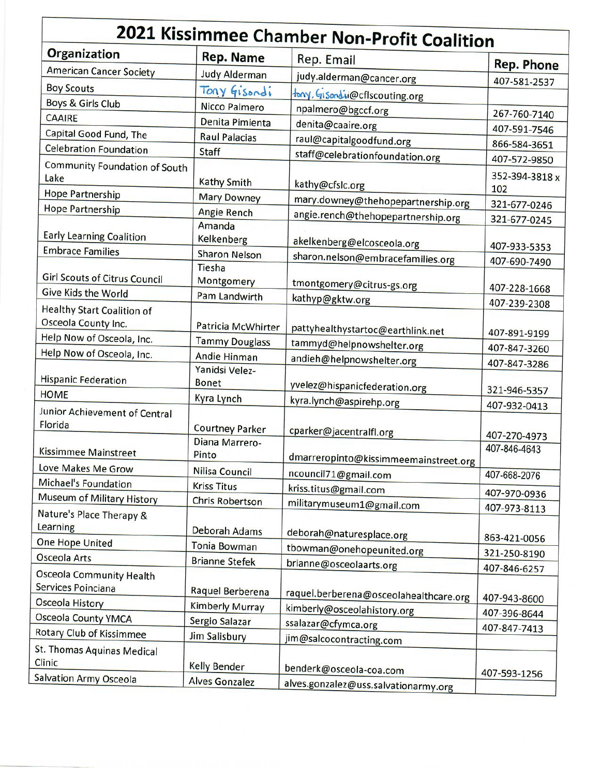| 2021 Kissimmee Chamber Non-Profit Coalition                 |                                |                                                                  |                                |  |
|-------------------------------------------------------------|--------------------------------|------------------------------------------------------------------|--------------------------------|--|
| <b>Organization</b>                                         | <b>Rep. Name</b>               | Rep. Email                                                       | <b>Rep. Phone</b>              |  |
| <b>American Cancer Society</b>                              | <b>Judy Alderman</b>           | judy.alderman@cancer.org                                         |                                |  |
| <b>Boy Scouts</b>                                           | Tony Gisondi                   | fony, Gisondie@cflscouting.org                                   | 407-581-2537                   |  |
| Boys & Girls Club                                           | <b>Nicco Palmero</b>           | npalmero@bgccf.org                                               |                                |  |
| <b>CAAIRE</b>                                               | Denita Pimienta                | denita@caaire.org                                                | 267-760-7140                   |  |
| Capital Good Fund, The                                      | <b>Raul Palacias</b>           | raul@capitalgoodfund.org                                         | 407-591-7546                   |  |
| <b>Celebration Foundation</b>                               | <b>Staff</b>                   | staff@celebrationfoundation.org                                  | 866-584-3651                   |  |
| <b>Community Foundation of South</b><br>Lake                | <b>Kathy Smith</b>             | kathy@cfslc.org                                                  | 407-572-9850<br>352-394-3818 x |  |
| <b>Hope Partnership</b>                                     | <b>Mary Downey</b>             | mary.downey@thehopepartnership.org                               | 102                            |  |
| <b>Hope Partnership</b>                                     | <b>Angie Rench</b>             |                                                                  | 321-677-0246                   |  |
| <b>Early Learning Coalition</b><br><b>Embrace Families</b>  | Amanda<br>Kelkenberg           | angie.rench@thehopepartnership.org<br>akelkenberg@elcosceola.org | 321-677-0245<br>407-933-5353   |  |
|                                                             | <b>Sharon Nelson</b>           | sharon.nelson@embracefamilies.org                                | 407-690-7490                   |  |
| <b>Girl Scouts of Citrus Council</b><br>Give Kids the World | Tiesha<br>Montgomery           | tmontgomery@citrus-gs.org                                        | 407-228-1668                   |  |
|                                                             | Pam Landwirth                  | kathyp@gktw.org                                                  | 407-239-2308                   |  |
| <b>Healthy Start Coalition of</b><br>Osceola County Inc.    | Patricia McWhirter             | pattyhealthystartoc@earthlink.net                                | 407-891-9199                   |  |
| Help Now of Osceola, Inc.                                   | <b>Tammy Douglass</b>          | tammyd@helpnowshelter.org                                        | 407-847-3260                   |  |
| Help Now of Osceola, Inc.                                   | Andie Hinman                   | andieh@helpnowshelter.org                                        | 407-847-3286                   |  |
| <b>Hispanic Federation</b>                                  | Yanidsi Velez-<br><b>Bonet</b> | yvelez@hispanicfederation.org                                    | 321-946-5357                   |  |
| <b>HOME</b>                                                 | Kyra Lynch                     | kyra.lynch@aspirehp.org                                          | 407-932-0413                   |  |
| Junior Achievement of Central<br>Florida                    | <b>Courtney Parker</b>         | cparker@jacentralfl.org                                          |                                |  |
| Kissimmee Mainstreet                                        | Diana Marrero-<br>Pinto        | dmarreropinto@kissimmeemainstreet.org                            | 407-270-4973<br>407-846-4643   |  |
| Love Makes Me Grow                                          | <b>Nilisa Council</b>          | ncouncil71@gmail.com                                             | 407-668-2076                   |  |
| Michael's Foundation                                        | <b>Kriss Titus</b>             | kriss.titus@gmail.com                                            | 407-970-0936                   |  |
| Museum of Military History                                  | <b>Chris Robertson</b>         | militarymuseum1@gmail.com                                        |                                |  |
| Nature's Place Therapy &<br>Learning                        | Deborah Adams                  | deborah@naturesplace.org                                         | 407-973-8113                   |  |
| One Hope United                                             | <b>Tonia Bowman</b>            | tbowman@onehopeunited.org                                        | 863-421-0056                   |  |
| <b>Osceola Arts</b>                                         | <b>Brianne Stefek</b>          | brianne@osceolaarts.org                                          | 321-250-8190                   |  |
| Osceola Community Health<br>Services Poinciana              | Raquel Berberena               |                                                                  | 407-846-6257                   |  |
| Osceola History                                             | <b>Kimberly Murray</b>         | raquel.berberena@osceolahealthcare.org                           | 407-943-8600                   |  |
| Osceola County YMCA                                         | Sergio Salazar                 | kimberly@osceolahistory.org                                      | 407-396-8644                   |  |
| Rotary Club of Kissimmee                                    | <b>Jim Salisbury</b>           | ssalazar@cfymca.org                                              | 407-847-7413                   |  |
| St. Thomas Aquinas Medical<br>Clinic                        | <b>Kelly Bender</b>            | jim@salcocontracting.com                                         |                                |  |
| Salvation Army Osceola                                      | <b>Alves Gonzalez</b>          | benderk@osceola-coa.com                                          | 407-593-1256                   |  |
|                                                             |                                | alves.gonzalez@uss.salvationarmy.org                             |                                |  |